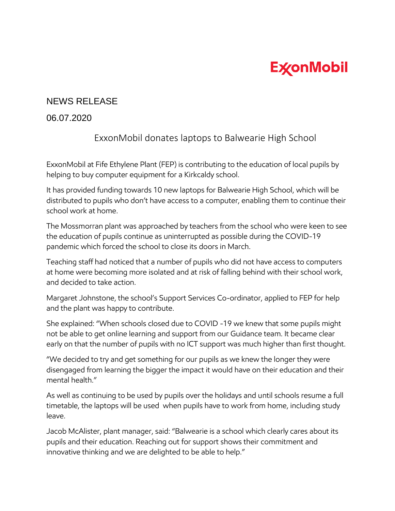## **ExconMobil**

## NEWS RELEASE

## 06.07.2020

## ExxonMobil donates laptops to Balwearie High School

ExxonMobil at Fife Ethylene Plant (FEP) is contributing to the education of local pupils by helping to buy computer equipment for a Kirkcaldy school.

It has provided funding towards 10 new laptops for Balwearie High School, which will be distributed to pupils who don't have access to a computer, enabling them to continue their school work at home.

The Mossmorran plant was approached by teachers from the school who were keen to see the education of pupils continue as uninterrupted as possible during the COVID-19 pandemic which forced the school to close its doors in March.

Teaching staff had noticed that a number of pupils who did not have access to computers at home were becoming more isolated and at risk of falling behind with their school work, and decided to take action.

Margaret Johnstone, the school's Support Services Co-ordinator, applied to FEP for help and the plant was happy to contribute.

She explained: "When schools closed due to COVID -19 we knew that some pupils might not be able to get online learning and support from our Guidance team. It became clear early on that the number of pupils with no ICT support was much higher than first thought.

"We decided to try and get something for our pupils as we knew the longer they were disengaged from learning the bigger the impact it would have on their education and their mental health."

As well as continuing to be used by pupils over the holidays and until schools resume a full timetable, the laptops will be used when pupils have to work from home, including study leave.

Jacob McAlister, plant manager, said: "Balwearie is a school which clearly cares about its pupils and their education. Reaching out for support shows their commitment and innovative thinking and we are delighted to be able to help."